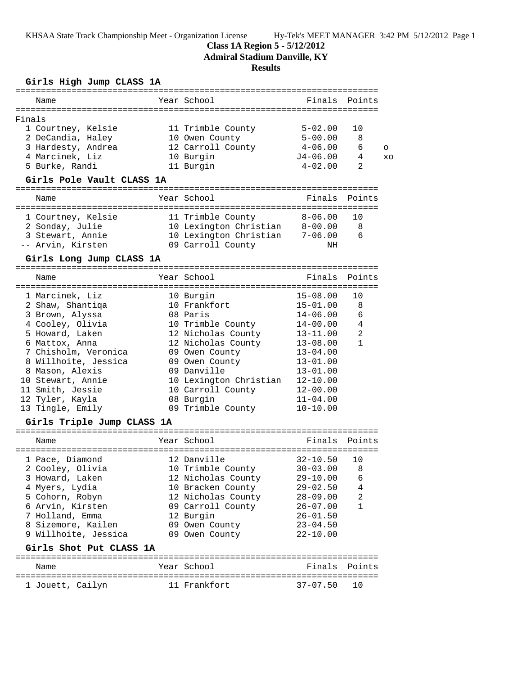KHSAA State Track Championship Meet - Organization License Hy-Tek's MEET MANAGER 3:42 PM 5/12/2012 Page 1

## **Class 1A Region 5 - 5/12/2012**

**Admiral Stadium Danville, KY**

## **Results**

## **Girls High Jump CLASS 1A**

|        | Name               | Year School       | Finals Points |    |          |
|--------|--------------------|-------------------|---------------|----|----------|
| Finals |                    |                   |               |    |          |
|        | 1 Courtney, Kelsie | 11 Trimble County | $5 - 02.00$   | 10 |          |
|        | 2 DeCandia, Haley  | 10 Owen County    | $5 - 00.00$   | 8  |          |
|        | 3 Hardesty, Andrea | 12 Carroll County | $4 - 06.00$   | 6  | $\Omega$ |
|        | 4 Marcinek, Liz    | 10 Burgin         | $J4 - 06.00$  | 4  | XO       |
|        | 5 Burke, Randi     | 11 Burgin         | $4 - 02.00$   | 2  |          |

## **Girls Pole Vault CLASS 1A**

| Name               | Year School            | Finals Points |       |
|--------------------|------------------------|---------------|-------|
|                    |                        |               |       |
| 1 Courtney, Kelsie | 11 Trimble County      | $8 - 06.00$   | ີ 1 ດ |
| 2 Sonday, Julie    | 10 Lexington Christian | $8 - 00.00$   | 8     |
| 3 Stewart, Annie   | 10 Lexington Christian | $7 - 06.00$   | 6     |
| -- Arvin, Kirsten  | 09 Carroll County      | NH            |       |

#### **Girls Long Jump CLASS 1A** =======================================================================

| Name                 | Year School            | Finals Points |              |
|----------------------|------------------------|---------------|--------------|
| 1 Marcinek, Liz      | 10 Burgin              | 15-08.00      | 10           |
| 2 Shaw, Shantiqa     | 10 Frankfort           | 15-01.00      | 8            |
| 3 Brown, Alyssa      | 08 Paris               | $14 - 06.00$  | 6            |
| 4 Cooley, Olivia     | 10 Trimble County      | $14 - 00.00$  | 4            |
| 5 Howard, Laken      | 12 Nicholas County     | 13-11.00      | 2            |
| 6 Mattox, Anna       | 12 Nicholas County     | $13 - 08.00$  | $\mathbf{1}$ |
| 7 Chisholm, Veronica | 09 Owen County         | $13 - 04.00$  |              |
| 8 Willhoite, Jessica | 09 Owen County         | $13 - 01.00$  |              |
| 8 Mason, Alexis      | 09 Danville            | $13 - 01.00$  |              |
| 10 Stewart, Annie    | 10 Lexington Christian | $12 - 10.00$  |              |
| 11 Smith, Jessie     | 10 Carroll County      | $12 - 00.00$  |              |
| 12 Tyler, Kayla      | 08 Burgin              | $11 - 04.00$  |              |
| 13 Tingle, Emily     | 09 Trimble County      | $10 - 10.00$  |              |

## **Girls Triple Jump CLASS 1A**

| Name                 | Year School        | Finals Points |                |
|----------------------|--------------------|---------------|----------------|
|                      |                    |               |                |
| 1 Pace, Diamond      | 12 Danville        | $32 - 10.50$  | 10             |
| 2 Cooley, Olivia     | 10 Trimble County  | $30 - 03.00$  | 8              |
| 3 Howard, Laken      | 12 Nicholas County | $29 - 10.00$  | 6              |
| 4 Myers, Lydia       | 10 Bracken County  | $29 - 02.50$  | 4              |
| 5 Cohorn, Robyn      | 12 Nicholas County | $28 - 09.00$  | $\mathfrak{D}$ |
| 6 Arvin, Kirsten     | 09 Carroll County  | $26 - 07.00$  |                |
| 7 Holland, Emma      | 12 Burgin          | $26 - 01.50$  |                |
| 8 Sizemore, Kailen   | 09 Owen County     | $23 - 04.50$  |                |
| 9 Willhoite, Jessica | 09 Owen County     | $22 - 10.00$  |                |
|                      |                    |               |                |

## **Girls Shot Put CLASS 1A**

| Name             | Year School  | Finals Points |  |
|------------------|--------------|---------------|--|
|                  |              |               |  |
| 1 Jouett, Cailyn | 11 Frankfort | 37-07.50 10   |  |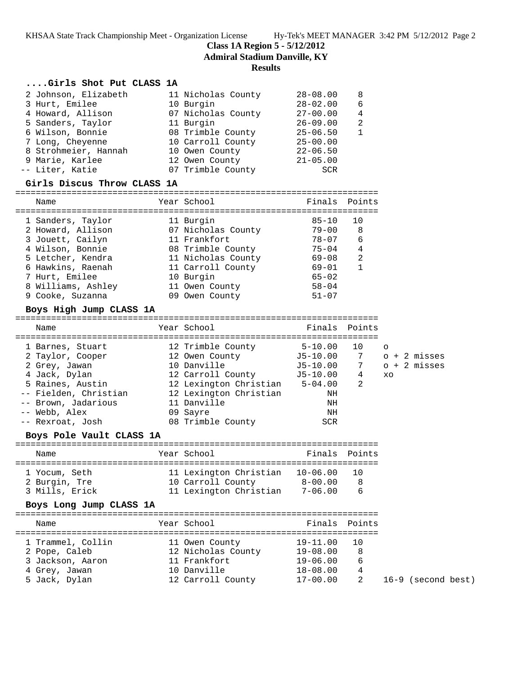KHSAA State Track Championship Meet - Organization License Hy-Tek's MEET MANAGER 3:42 PM 5/12/2012 Page 2

**Class 1A Region 5 - 5/12/2012**

**Admiral Stadium Danville, KY**

## **Results**

## **....Girls Shot Put CLASS 1A**

| 2 Johnson, Elizabeth | 11 Nicholas County | $28 - 08.00$ | 8 |
|----------------------|--------------------|--------------|---|
| 3 Hurt, Emilee       | 10 Burgin          | $28 - 02.00$ | 6 |
| 4 Howard, Allison    | 07 Nicholas County | $27 - 00.00$ | 4 |
| 5 Sanders, Taylor    | 11 Burgin          | $26 - 09.00$ | 2 |
| 6 Wilson, Bonnie     | 08 Trimble County  | $25 - 06.50$ |   |
| 7 Long, Cheyenne     | 10 Carroll County  | $25 - 00.00$ |   |
| 8 Strohmeier, Hannah | 10 Owen County     | $22 - 06.50$ |   |
| 9 Marie, Karlee      | 12 Owen County     | $21 - 05.00$ |   |
| -- Liter, Katie      | 07 Trimble County  | SCR          |   |
|                      |                    |              |   |

### **Girls Discus Throw CLASS 1A**

#### =======================================================================

| Name               | Year School        | Finals Points |                |
|--------------------|--------------------|---------------|----------------|
|                    |                    |               |                |
| 1 Sanders, Taylor  | 11 Burgin          | $85 - 10$     | 10             |
| 2 Howard, Allison  | 07 Nicholas County | $79 - 00$     | 8              |
| 3 Jouett, Cailyn   | 11 Frankfort       | $78 - 07$     | 6              |
| 4 Wilson, Bonnie   | 08 Trimble County  | $75 - 04$     | 4              |
| 5 Letcher, Kendra  | 11 Nicholas County | $69 - 08$     | 2              |
| 6 Hawkins, Raenah  | 11 Carroll County  | $69 - 01$     | $\overline{1}$ |
| 7 Hurt, Emilee     | 10 Burgin          | $65 - 02$     |                |
| 8 Williams, Ashley | 11 Owen County     | $58 - 04$     |                |
| 9 Cooke, Suzanna   | 09 Owen County     | $51 - 07$     |                |

## **Boys High Jump CLASS 1A**

| Year School<br>Finals Points<br>Name<br>12 Trimble County<br>$5 - 10.00$<br>10<br>1 Barnes, Stuart<br>$\circ$<br>J5-10.00<br>7<br>$o + 2$ misses<br>12 Owen County<br>2 Taylor, Cooper<br>$0 + 2$ misses<br>10 Danville<br>$7\overline{}$<br>J5-10.00<br>2 Grey, Jawan<br>J5-10.00<br>4 Jack, Dylan<br>12 Carroll County<br>4<br>XO<br>5 Raines, Austin<br>12 Lexington Christian<br>$\mathfrak{D}$<br>$5 - 04.00$<br>12 Lexington Christian<br>-- Fielden, Christian<br>ΝH<br>11 Danville<br>-- Brown, Jadarious<br>ΝH<br>-- Webb, Alex<br>09 Sayre<br>ΝH |  |  |  |  |  |
|------------------------------------------------------------------------------------------------------------------------------------------------------------------------------------------------------------------------------------------------------------------------------------------------------------------------------------------------------------------------------------------------------------------------------------------------------------------------------------------------------------------------------------------------------------|--|--|--|--|--|
|                                                                                                                                                                                                                                                                                                                                                                                                                                                                                                                                                            |  |  |  |  |  |
| 08 Trimble County<br>-- Rexroat, Josh<br><b>SCR</b>                                                                                                                                                                                                                                                                                                                                                                                                                                                                                                        |  |  |  |  |  |

## **Boys Pole Vault CLASS 1A**

| Name           | Year School            |  | Finals Points |     |  |  |  |  |  |
|----------------|------------------------|--|---------------|-----|--|--|--|--|--|
|                |                        |  |               |     |  |  |  |  |  |
| 1 Yocum, Seth  | 11 Lexington Christian |  | $10 - 06.00$  | 1 O |  |  |  |  |  |
| 2 Burgin, Tre  | 10 Carroll County      |  | $8 - 00.00$   | -8  |  |  |  |  |  |
| 3 Mills, Erick | 11 Lexington Christian |  | $7 - 06.00$   | 6   |  |  |  |  |  |

## **Boys Long Jump CLASS 1A**

| Name              | Year School        |              | Finals Points |
|-------------------|--------------------|--------------|---------------|
|                   |                    |              |               |
| 1 Trammel, Collin | 11 Owen County     | $19 - 11.00$ | 10            |
| 2 Pope, Caleb     | 12 Nicholas County | $19 - 08.00$ | 8             |
| 3 Jackson, Aaron  | 11 Frankfort       | $19 - 06.00$ | 6             |
| 4 Grey, Jawan     | 10 Danville        | $18 - 08.00$ | 4             |
| 5 Jack, Dylan     | 12 Carroll County  | $17 - 00.00$ |               |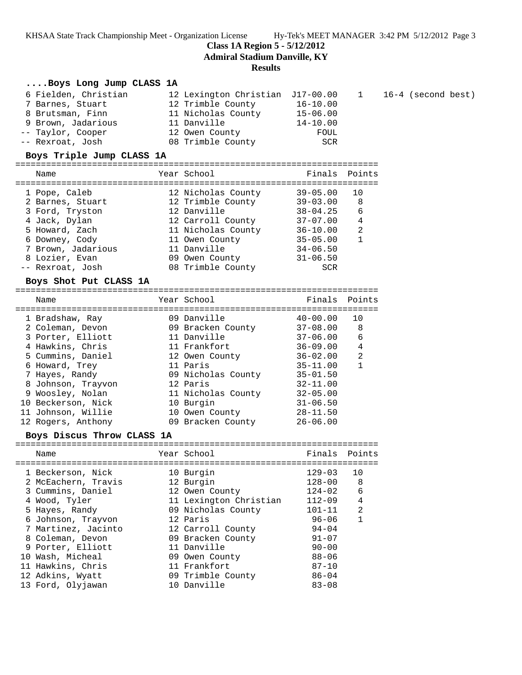KHSAA State Track Championship Meet - Organization License Hy-Tek's MEET MANAGER 3:42 PM 5/12/2012 Page 3

16-4 (second best)

**Class 1A Region 5 - 5/12/2012**

**Admiral Stadium Danville, KY**

#### **Results**

## **....Boys Long Jump CLASS 1A**

| 6 Fielden, Christian | 12 Lexington Christian J17-00.00 |              | $\mathbf{1}$ |
|----------------------|----------------------------------|--------------|--------------|
| 7 Barnes, Stuart     | 12 Trimble County                | $16 - 10.00$ |              |
| 8 Brutsman, Finn     | 11 Nicholas County               | $15 - 06.00$ |              |
| 9 Brown, Jadarious   | 11 Danville                      | $14 - 10.00$ |              |
| -- Taylor, Cooper    | 12 Owen County                   | FOUL         |              |
| -- Rexroat, Josh     | 08 Trimble County                | SCR          |              |

## **Boys Triple Jump CLASS 1A**

=======================================================================

| 1 Pope, Caleb      | 12 Nicholas County | $39 - 05.00$ | 10             |
|--------------------|--------------------|--------------|----------------|
| 2 Barnes, Stuart   | 12 Trimble County  | $39 - 03.00$ | 8              |
| 3 Ford, Tryston    | 12 Danville        | $38 - 04.25$ | 6              |
| 4 Jack, Dylan      | 12 Carroll County  | $37 - 07.00$ | 4              |
| 5 Howard, Zach     | 11 Nicholas County | $36 - 10.00$ | $\mathfrak{D}$ |
| 6 Downey, Cody     | 11 Owen County     | $35 - 05.00$ |                |
| 7 Brown, Jadarious | 11 Danville        | $34 - 06.50$ |                |
| 8 Lozier, Evan     | 09 Owen County     | $31 - 06.50$ |                |
| -- Rexroat, Josh   | 08 Trimble County  | SCR          |                |

### **Boys Shot Put CLASS 1A**

| Name                                  | Year School                      | Finals                       | Points         |
|---------------------------------------|----------------------------------|------------------------------|----------------|
| 1 Bradshaw, Ray                       | 09 Danville                      | $40 - 00.00$                 | 10             |
| 2 Coleman, Devon<br>3 Porter, Elliott | 09 Bracken County<br>11 Danville | $37 - 08.00$<br>$37 - 06.00$ | 8<br>6         |
| 4 Hawkins, Chris                      | 11 Frankfort                     | $36 - 09.00$                 | 4              |
| 5 Cummins, Daniel                     | 12 Owen County                   | $36 - 02.00$                 | $\mathfrak{D}$ |
| 6 Howard, Trey                        | 11 Paris                         | $35 - 11.00$                 |                |
| 7 Hayes, Randy                        | 09 Nicholas County               | $35 - 01.50$                 |                |
| 8 Johnson, Trayvon                    | 12 Paris                         | $32 - 11.00$                 |                |
| 9 Woosley, Nolan                      | 11 Nicholas County               | $32 - 05.00$                 |                |
| 10 Beckerson, Nick                    | 10 Burgin                        | $31 - 06.50$                 |                |
| 11 Johnson, Willie                    | 10 Owen County                   | $28 - 11.50$                 |                |
| 12 Rogers, Anthony                    | 09 Bracken County                | $26 - 06.00$                 |                |
|                                       |                                  |                              |                |

## **Boys Discus Throw CLASS 1A**

|  | Name                |  | Year School            | Finals Points |                |
|--|---------------------|--|------------------------|---------------|----------------|
|  |                     |  |                        |               |                |
|  | 1 Beckerson, Nick   |  | 10 Burgin              | $129 - 03$    | 10             |
|  | 2 McEachern, Travis |  | 12 Burgin              | $128 - 00$    | 8              |
|  | 3 Cummins, Daniel   |  | 12 Owen County         | $124 - 02$    | 6              |
|  | 4 Wood, Tyler       |  | 11 Lexington Christian | $112 - 09$    | 4              |
|  | 5 Hayes, Randy      |  | 09 Nicholas County     | $101 - 11$    | $\mathfrak{D}$ |
|  | 6 Johnson, Trayvon  |  | 12 Paris               | $96 - 06$     | 1              |
|  | 7 Martinez, Jacinto |  | 12 Carroll County      | $94 - 04$     |                |
|  | 8 Coleman, Devon    |  | 09 Bracken County      | $91 - 07$     |                |
|  | 9 Porter, Elliott   |  | 11 Danville            | $90 - 00$     |                |
|  | 10 Wash, Micheal    |  | 09 Owen County         | $88 - 06$     |                |
|  | 11 Hawkins, Chris   |  | 11 Frankfort           | $87 - 10$     |                |
|  | 12 Adkins, Wyatt    |  | 09 Trimble County      | $86 - 04$     |                |
|  | 13 Ford, Olyjawan   |  | 10 Danville            | $83 - 08$     |                |
|  |                     |  |                        |               |                |